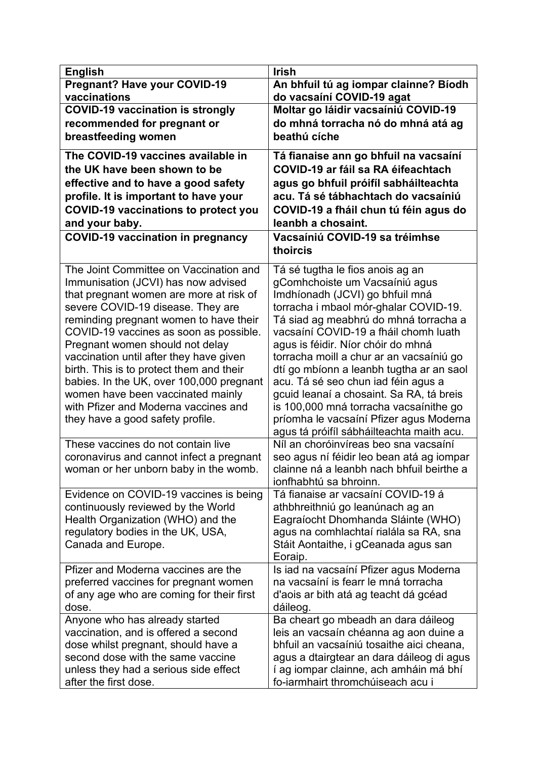| <b>English</b>                                                                   | <b>Irish</b>                                                                   |
|----------------------------------------------------------------------------------|--------------------------------------------------------------------------------|
| <b>Pregnant? Have your COVID-19</b>                                              | An bhfuil tú ag iompar clainne? Bíodh                                          |
| vaccinations                                                                     | do vacsaíní COVID-19 agat                                                      |
| <b>COVID-19 vaccination is strongly</b>                                          | Moltar go láidir vacsaíniú COVID-19                                            |
| recommended for pregnant or                                                      | do mhná torracha nó do mhná atá ag                                             |
| breastfeeding women                                                              | beathú cíche                                                                   |
| The COVID-19 vaccines available in                                               | Tá fianaise ann go bhfuil na vacsaíní                                          |
| the UK have been shown to be                                                     | COVID-19 ar fáil sa RA éifeachtach                                             |
| effective and to have a good safety                                              | agus go bhfuil próifíl sabháilteachta                                          |
| profile. It is important to have your                                            | acu. Tá sé tábhachtach do vacsaíniú                                            |
| <b>COVID-19 vaccinations to protect you</b>                                      | COVID-19 a fháil chun tú féin agus do<br>leanbh a chosaint.                    |
| and your baby.<br><b>COVID-19 vaccination in pregnancy</b>                       | Vacsaíniú COVID-19 sa tréimhse                                                 |
|                                                                                  | thoircis                                                                       |
| The Joint Committee on Vaccination and                                           | Tá sé tugtha le fios anois ag an                                               |
| Immunisation (JCVI) has now advised                                              | gComhchoiste um Vacsaíniú agus                                                 |
| that pregnant women are more at risk of                                          | Imdhíonadh (JCVI) go bhfuil mná                                                |
| severe COVID-19 disease. They are                                                | torracha i mbaol mór-ghalar COVID-19.                                          |
| reminding pregnant women to have their<br>COVID-19 vaccines as soon as possible. | Tá siad ag meabhrú do mhná torracha a<br>vacsaíní COVID-19 a fháil chomh luath |
| Pregnant women should not delay                                                  | agus is féidir. Níor chóir do mhná                                             |
| vaccination until after they have given                                          | torracha moill a chur ar an vacsaíniú go                                       |
| birth. This is to protect them and their                                         | dtí go mbíonn a leanbh tugtha ar an saol                                       |
| babies. In the UK, over 100,000 pregnant                                         | acu. Tá sé seo chun iad féin agus a                                            |
| women have been vaccinated mainly                                                | gcuid leanaí a chosaint. Sa RA, tá breis                                       |
| with Pfizer and Moderna vaccines and                                             | is 100,000 mná torracha vacsaínithe go                                         |
| they have a good safety profile.                                                 | príomha le vacsaíní Pfizer agus Moderna                                        |
|                                                                                  | agus tá próifíl sábháilteachta maith acu.                                      |
| These vaccines do not contain live                                               | Níl an choróinvíreas beo sna vacsaíní                                          |
| coronavirus and cannot infect a pregnant                                         | seo agus ní féidir leo bean atá ag iompar                                      |
| woman or her unborn baby in the womb.                                            | clainne ná a leanbh nach bhfuil beirthe a                                      |
| Evidence on COVID-19 vaccines is being                                           | ionfhabhtú sa bhroinn.<br>Tá fianaise ar vacsaíní COVID-19 á                   |
| continuously reviewed by the World                                               | athbhreithniú go leanúnach ag an                                               |
| Health Organization (WHO) and the                                                | Eagraíocht Dhomhanda Sláinte (WHO)                                             |
| regulatory bodies in the UK, USA,                                                | agus na comhlachtaí rialála sa RA, sna                                         |
| Canada and Europe.                                                               | Stáit Aontaithe, i gCeanada agus san                                           |
|                                                                                  | Eoraip.                                                                        |
| Pfizer and Moderna vaccines are the                                              | Is iad na vacsaíní Pfizer agus Moderna                                         |
| preferred vaccines for pregnant women                                            | na vacsaíní is fearr le mná torracha                                           |
| of any age who are coming for their first                                        | d'aois ar bith atá ag teacht dá gcéad                                          |
| dose.                                                                            | dáileog.                                                                       |
| Anyone who has already started<br>vaccination, and is offered a second           | Ba cheart go mbeadh an dara dáileog<br>leis an vacsaín chéanna ag aon duine a  |
| dose whilst pregnant, should have a                                              | bhfuil an vacsaíniú tosaithe aici cheana,                                      |
| second dose with the same vaccine                                                | agus a dtairgtear an dara dáileog di agus                                      |
| unless they had a serious side effect                                            | í ag iompar clainne, ach amháin má bhí                                         |
| after the first dose.                                                            | fo-iarmhairt thromchúiseach acu i                                              |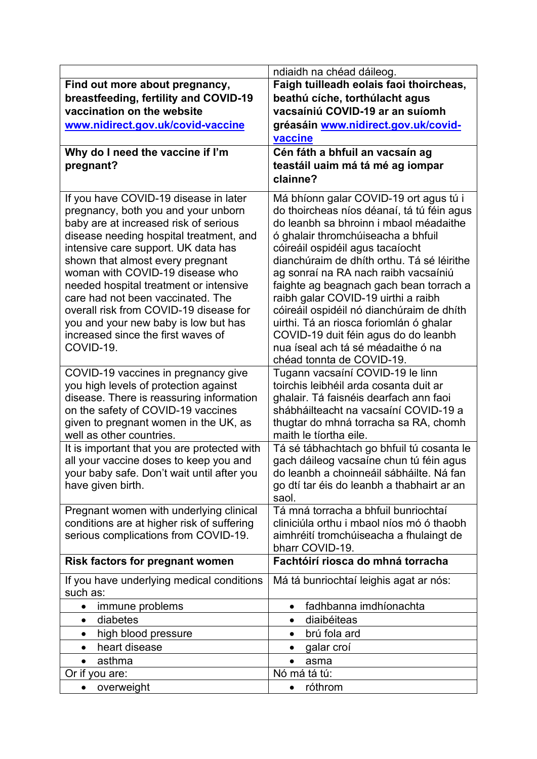|                                                 | ndiaidh na chéad dáileog.                                                  |
|-------------------------------------------------|----------------------------------------------------------------------------|
| Find out more about pregnancy,                  | Faigh tuilleadh eolais faoi thoircheas,                                    |
| breastfeeding, fertility and COVID-19           | beathú cíche, torthúlacht agus                                             |
| vaccination on the website                      | vacsaíniú COVID-19 ar an suíomh                                            |
| www.nidirect.gov.uk/covid-vaccine               | gréasáin www.nidirect.gov.uk/covid-                                        |
|                                                 | vaccine                                                                    |
| Why do I need the vaccine if I'm                | Cén fáth a bhfuil an vacsaín ag                                            |
| pregnant?                                       | teastáil uaim má tá mé ag iompar                                           |
|                                                 | clainne?                                                                   |
| If you have COVID-19 disease in later           | Má bhíonn galar COVID-19 ort agus tú i                                     |
| pregnancy, both you and your unborn             | do thoircheas níos déanaí, tá tú féin agus                                 |
| baby are at increased risk of serious           | do leanbh sa bhroinn i mbaol méadaithe                                     |
| disease needing hospital treatment, and         | ó ghalair thromchúiseacha a bhfuil                                         |
| intensive care support. UK data has             | cóireáil ospidéil agus tacaíocht                                           |
| shown that almost every pregnant                | dianchúraim de dhíth orthu. Tá sé léirithe                                 |
| woman with COVID-19 disease who                 | ag sonraí na RA nach raibh vacsaíniú                                       |
| needed hospital treatment or intensive          | faighte ag beagnach gach bean torrach a                                    |
| care had not been vaccinated. The               | raibh galar COVID-19 uirthi a raibh                                        |
| overall risk from COVID-19 disease for          | cóireáil ospidéil nó dianchúraim de dhíth                                  |
| you and your new baby is low but has            | uirthi. Tá an riosca foriomlán ó ghalar                                    |
| increased since the first waves of<br>COVID-19. | COVID-19 duit féin agus do do leanbh<br>nua íseal ach tá sé méadaithe ó na |
|                                                 | chéad tonnta de COVID-19.                                                  |
| COVID-19 vaccines in pregnancy give             | Tugann vacsaíní COVID-19 le linn                                           |
| you high levels of protection against           | toirchis leibhéil arda cosanta duit ar                                     |
| disease. There is reassuring information        | ghalair. Tá faisnéis dearfach ann faoi                                     |
| on the safety of COVID-19 vaccines              | shábháilteacht na vacsaíní COVID-19 a                                      |
| given to pregnant women in the UK, as           | thugtar do mhná torracha sa RA, chomh                                      |
| well as other countries.                        | maith le tíortha eile.                                                     |
| It is important that you are protected with     | Tá sé tábhachtach go bhfuil tú cosanta le                                  |
| all your vaccine doses to keep you and          | gach dáileog vacsaíne chun tú féin agus                                    |
| your baby safe. Don't wait until after you      | do leanbh a choinneáil sábháilte. Ná fan                                   |
| have given birth.                               | go dtí tar éis do leanbh a thabhairt ar an                                 |
| Pregnant women with underlying clinical         | saol.<br>Tá mná torracha a bhfuil bunriochtaí                              |
| conditions are at higher risk of suffering      | cliniciúla orthu i mbaol níos mó ó thaobh                                  |
| serious complications from COVID-19.            | aimhréití tromchúiseacha a fhulaingt de                                    |
|                                                 | bharr COVID-19.                                                            |
| <b>Risk factors for pregnant women</b>          | Fachtóirí riosca do mhná torracha                                          |
| If you have underlying medical conditions       | Má tá bunriochtaí leighis agat ar nós:                                     |
| such as:                                        |                                                                            |
| immune problems<br>$\bullet$                    | fadhbanna imdhíonachta<br>$\bullet$                                        |
| diabetes<br>$\bullet$                           | diaibéiteas<br>$\bullet$                                                   |
| high blood pressure<br>$\bullet$                | brú fola ard<br>$\bullet$                                                  |
| heart disease<br>$\bullet$                      | galar croí<br>$\bullet$                                                    |
| asthma<br>$\bullet$                             | asma<br>$\bullet$                                                          |
| Or if you are:                                  | Nó má tá tú:                                                               |
| overweight                                      | róthrom<br>$\bullet$                                                       |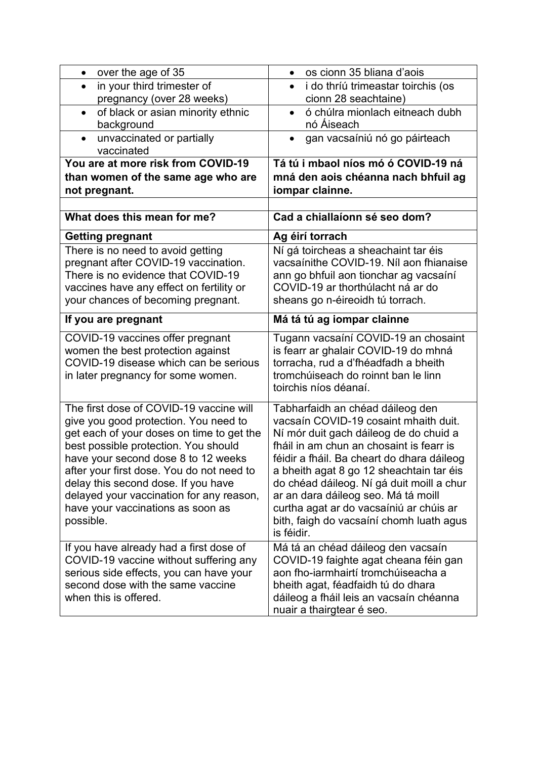| over the age of 35<br>$\bullet$                                                                                                                                                                                                                                                                                                                                                                | os cionn 35 bliana d'aois<br>$\bullet$                                                                                                                                                                                                                                                                                                                                                                                                             |
|------------------------------------------------------------------------------------------------------------------------------------------------------------------------------------------------------------------------------------------------------------------------------------------------------------------------------------------------------------------------------------------------|----------------------------------------------------------------------------------------------------------------------------------------------------------------------------------------------------------------------------------------------------------------------------------------------------------------------------------------------------------------------------------------------------------------------------------------------------|
| in your third trimester of                                                                                                                                                                                                                                                                                                                                                                     | i do thríú trimeastar toirchis (os                                                                                                                                                                                                                                                                                                                                                                                                                 |
| pregnancy (over 28 weeks)                                                                                                                                                                                                                                                                                                                                                                      | cionn 28 seachtaine)                                                                                                                                                                                                                                                                                                                                                                                                                               |
| of black or asian minority ethnic<br>$\bullet$                                                                                                                                                                                                                                                                                                                                                 | ó chúlra mionlach eitneach dubh<br>$\bullet$                                                                                                                                                                                                                                                                                                                                                                                                       |
| background                                                                                                                                                                                                                                                                                                                                                                                     | nó Áiseach                                                                                                                                                                                                                                                                                                                                                                                                                                         |
| unvaccinated or partially<br>$\bullet$<br>vaccinated                                                                                                                                                                                                                                                                                                                                           | gan vacsaíniú nó go páirteach<br>$\bullet$                                                                                                                                                                                                                                                                                                                                                                                                         |
| You are at more risk from COVID-19                                                                                                                                                                                                                                                                                                                                                             | Tá tú i mbaol níos mó ó COVID-19 ná                                                                                                                                                                                                                                                                                                                                                                                                                |
| than women of the same age who are                                                                                                                                                                                                                                                                                                                                                             | mná den aois chéanna nach bhfuil ag                                                                                                                                                                                                                                                                                                                                                                                                                |
| not pregnant.                                                                                                                                                                                                                                                                                                                                                                                  | iompar clainne.                                                                                                                                                                                                                                                                                                                                                                                                                                    |
|                                                                                                                                                                                                                                                                                                                                                                                                |                                                                                                                                                                                                                                                                                                                                                                                                                                                    |
| What does this mean for me?                                                                                                                                                                                                                                                                                                                                                                    | Cad a chiallaíonn sé seo dom?                                                                                                                                                                                                                                                                                                                                                                                                                      |
| <b>Getting pregnant</b>                                                                                                                                                                                                                                                                                                                                                                        | Ag éirí torrach                                                                                                                                                                                                                                                                                                                                                                                                                                    |
| There is no need to avoid getting<br>pregnant after COVID-19 vaccination.<br>There is no evidence that COVID-19<br>vaccines have any effect on fertility or<br>your chances of becoming pregnant.                                                                                                                                                                                              | Ní gá toircheas a sheachaint tar éis<br>vacsaínithe COVID-19. Níl aon fhianaise<br>ann go bhfuil aon tionchar ag vacsaíní<br>COVID-19 ar thorthúlacht ná ar do<br>sheans go n-éireoidh tú torrach.                                                                                                                                                                                                                                                 |
| If you are pregnant                                                                                                                                                                                                                                                                                                                                                                            | Má tá tú ag iompar clainne                                                                                                                                                                                                                                                                                                                                                                                                                         |
| COVID-19 vaccines offer pregnant<br>women the best protection against<br>COVID-19 disease which can be serious<br>in later pregnancy for some women.                                                                                                                                                                                                                                           | Tugann vacsaíní COVID-19 an chosaint<br>is fearr ar ghalair COVID-19 do mhná<br>torracha, rud a d'fhéadfadh a bheith<br>tromchúiseach do roinnt ban le linn<br>toirchis níos déanaí.                                                                                                                                                                                                                                                               |
| The first dose of COVID-19 vaccine will<br>give you good protection. You need to<br>get each of your doses on time to get the<br>best possible protection. You should<br>have your second dose 8 to 12 weeks<br>after your first dose. You do not need to<br>delay this second dose. If you have<br>delayed your vaccination for any reason,<br>have your vaccinations as soon as<br>possible. | Tabharfaidh an chéad dáileog den<br>vacsaín COVID-19 cosaint mhaith duit.<br>Ní mór duit gach dáileog de do chuid a<br>fháil in am chun an chosaint is fearr is<br>féidir a fháil. Ba cheart do dhara dáileog<br>a bheith agat 8 go 12 sheachtain tar éis<br>do chéad dáileog. Ní gá duit moill a chur<br>ar an dara dáileog seo. Má tá moill<br>curtha agat ar do vacsaíniú ar chúis ar<br>bith, faigh do vacsaíní chomh luath agus<br>is féidir. |
| If you have already had a first dose of<br>COVID-19 vaccine without suffering any<br>serious side effects, you can have your<br>second dose with the same vaccine<br>when this is offered.                                                                                                                                                                                                     | Má tá an chéad dáileog den vacsaín<br>COVID-19 faighte agat cheana féin gan<br>aon fho-iarmhairtí tromchúiseacha a<br>bheith agat, féadfaidh tú do dhara<br>dáileog a fháil leis an vacsaín chéanna<br>nuair a thairgtear é seo.                                                                                                                                                                                                                   |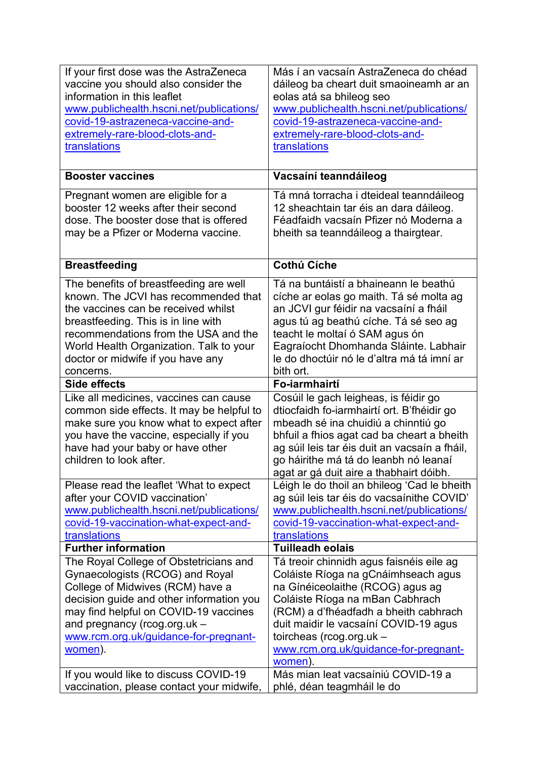| If your first dose was the AstraZeneca<br>vaccine you should also consider the<br>information in this leaflet<br>www.publichealth.hscni.net/publications/<br>covid-19-astrazeneca-vaccine-and-<br>extremely-rare-blood-clots-and-                                                                                               | Más í an vacsaín AstraZeneca do chéad<br>dáileog ba cheart duit smaoineamh ar an<br>eolas atá sa bhileog seo<br>www.publichealth.hscni.net/publications/<br>covid-19-astrazeneca-vaccine-and-<br>extremely-rare-blood-clots-and-                                                                                                                               |
|---------------------------------------------------------------------------------------------------------------------------------------------------------------------------------------------------------------------------------------------------------------------------------------------------------------------------------|----------------------------------------------------------------------------------------------------------------------------------------------------------------------------------------------------------------------------------------------------------------------------------------------------------------------------------------------------------------|
| translations                                                                                                                                                                                                                                                                                                                    | translations                                                                                                                                                                                                                                                                                                                                                   |
| <b>Booster vaccines</b>                                                                                                                                                                                                                                                                                                         | Vacsaíní teanndáileog                                                                                                                                                                                                                                                                                                                                          |
| Pregnant women are eligible for a<br>booster 12 weeks after their second<br>dose. The booster dose that is offered<br>may be a Pfizer or Moderna vaccine.                                                                                                                                                                       | Tá mná torracha i dteideal teanndáileog<br>12 sheachtain tar éis an dara dáileog.<br>Féadfaidh vacsaín Pfizer nó Moderna a<br>bheith sa teanndáileog a thairgtear.                                                                                                                                                                                             |
| <b>Breastfeeding</b>                                                                                                                                                                                                                                                                                                            | <b>Cothú Cíche</b>                                                                                                                                                                                                                                                                                                                                             |
| The benefits of breastfeeding are well<br>known. The JCVI has recommended that<br>the vaccines can be received whilst<br>breastfeeding. This is in line with<br>recommendations from the USA and the<br>World Health Organization. Talk to your<br>doctor or midwife if you have any<br>concerns.                               | Tá na buntáistí a bhaineann le beathú<br>cíche ar eolas go maith. Tá sé molta ag<br>an JCVI gur féidir na vacsaíní a fháil<br>agus tú ag beathú cíche. Tá sé seo ag<br>teacht le moltaí ó SAM agus ón<br>Eagraíocht Dhomhanda Sláinte. Labhair<br>le do dhoctúir nó le d'altra má tá imní ar<br>bith ort.                                                      |
| <b>Side effects</b>                                                                                                                                                                                                                                                                                                             | Fo-iarmhairtí                                                                                                                                                                                                                                                                                                                                                  |
|                                                                                                                                                                                                                                                                                                                                 |                                                                                                                                                                                                                                                                                                                                                                |
| Like all medicines, vaccines can cause<br>common side effects. It may be helpful to<br>make sure you know what to expect after<br>you have the vaccine, especially if you<br>have had your baby or have other<br>children to look after.                                                                                        | Cosúil le gach leigheas, is féidir go<br>dtiocfaidh fo-iarmhairtí ort. B'fhéidir go<br>mbeadh sé ina chuidiú a chinntiú go<br>bhfuil a fhios agat cad ba cheart a bheith<br>ag súil leis tar éis duit an vacsaín a fháil,<br>go háirithe má tá do leanbh nó leanaí<br>agat ar gá duit aire a thabhairt dóibh.                                                  |
| Please read the leaflet 'What to expect<br>after your COVID vaccination'<br>www.publichealth.hscni.net/publications/<br>covid-19-vaccination-what-expect-and-<br>translations                                                                                                                                                   | Léigh le do thoil an bhileog 'Cad le bheith<br>ag súil leis tar éis do vacsaínithe COVID'<br>www.publichealth.hscni.net/publications/<br>covid-19-vaccination-what-expect-and-<br>translations                                                                                                                                                                 |
| <b>Further information</b>                                                                                                                                                                                                                                                                                                      | <b>Tuilleadh eolais</b>                                                                                                                                                                                                                                                                                                                                        |
| The Royal College of Obstetricians and<br>Gynaecologists (RCOG) and Royal<br>College of Midwives (RCM) have a<br>decision guide and other information you<br>may find helpful on COVID-19 vaccines<br>and pregnancy (rcog.org.uk -<br>www.rcm.org.uk/guidance-for-pregnant-<br>women).<br>If you would like to discuss COVID-19 | Tá treoir chinnidh agus faisnéis eile ag<br>Coláiste Ríoga na gCnáimhseach agus<br>na Gínéiceolaithe (RCOG) agus ag<br>Coláiste Ríoga na mBan Cabhrach<br>(RCM) a d'fhéadfadh a bheith cabhrach<br>duit maidir le vacsaíní COVID-19 agus<br>toircheas (rcog.org.uk -<br>www.rcm.org.uk/guidance-for-pregnant-<br>women).<br>Más mian leat vacsaíniú COVID-19 a |